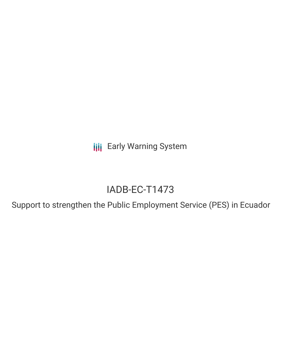**III** Early Warning System

# IADB-EC-T1473

Support to strengthen the Public Employment Service (PES) in Ecuador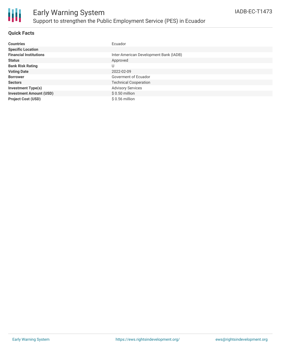

## Early Warning System Support to strengthen the Public Employment Service (PES) in Ecuador

### **Quick Facts**

| <b>Countries</b>               | Ecuador                                |
|--------------------------------|----------------------------------------|
| <b>Specific Location</b>       |                                        |
| <b>Financial Institutions</b>  | Inter-American Development Bank (IADB) |
| <b>Status</b>                  | Approved                               |
| <b>Bank Risk Rating</b>        | U                                      |
| <b>Voting Date</b>             | 2022-02-09                             |
| <b>Borrower</b>                | Goverment of Ecuador                   |
| <b>Sectors</b>                 | <b>Technical Cooperation</b>           |
| <b>Investment Type(s)</b>      | <b>Advisory Services</b>               |
| <b>Investment Amount (USD)</b> | $$0.50$ million                        |
| <b>Project Cost (USD)</b>      | $$0.56$ million                        |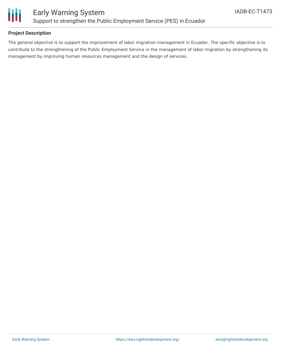

### **Project Description**

The general objective is to support the improvement of labor migration management in Ecuador. The specific objective is to contribute to the strengthening of the Public Employment Service in the management of labor migration by strengthening its management by improving human resources management and the design of services.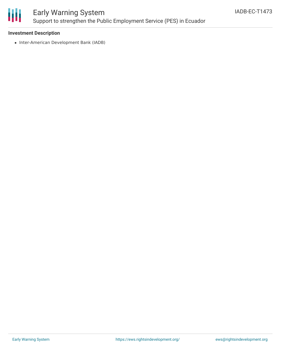

### Early Warning System Support to strengthen the Public Employment Service (PES) in Ecuador

#### **Investment Description**

• Inter-American Development Bank (IADB)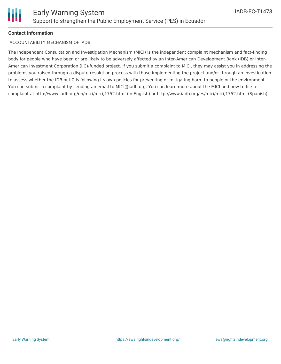

#### **Contact Information**

#### ACCOUNTABILITY MECHANISM OF IADB

The Independent Consultation and Investigation Mechanism (MICI) is the independent complaint mechanism and fact-finding body for people who have been or are likely to be adversely affected by an Inter-American Development Bank (IDB) or Inter-American Investment Corporation (IIC)-funded project. If you submit a complaint to MICI, they may assist you in addressing the problems you raised through a dispute-resolution process with those implementing the project and/or through an investigation to assess whether the IDB or IIC is following its own policies for preventing or mitigating harm to people or the environment. You can submit a complaint by sending an email to MICI@iadb.org. You can learn more about the MICI and how to file a complaint at http://www.iadb.org/en/mici/mici,1752.html (in English) or http://www.iadb.org/es/mici/mici,1752.html (Spanish).